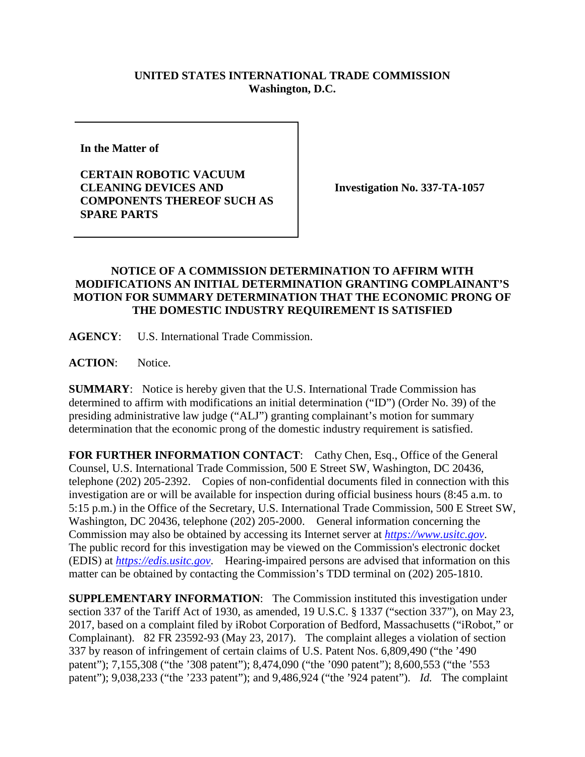## **UNITED STATES INTERNATIONAL TRADE COMMISSION Washington, D.C.**

**In the Matter of** 

**CERTAIN ROBOTIC VACUUM CLEANING DEVICES AND COMPONENTS THEREOF SUCH AS SPARE PARTS**

**Investigation No. 337-TA-1057**

## **NOTICE OF A COMMISSION DETERMINATION TO AFFIRM WITH MODIFICATIONS AN INITIAL DETERMINATION GRANTING COMPLAINANT'S MOTION FOR SUMMARY DETERMINATION THAT THE ECONOMIC PRONG OF THE DOMESTIC INDUSTRY REQUIREMENT IS SATISFIED**

**AGENCY**: U.S. International Trade Commission.

ACTION: Notice.

**SUMMARY**: Notice is hereby given that the U.S. International Trade Commission has determined to affirm with modifications an initial determination ("ID") (Order No. 39) of the presiding administrative law judge ("ALJ") granting complainant's motion for summary determination that the economic prong of the domestic industry requirement is satisfied.

FOR FURTHER INFORMATION CONTACT: Cathy Chen, Esq., Office of the General Counsel, U.S. International Trade Commission, 500 E Street SW, Washington, DC 20436, telephone (202) 205-2392. Copies of non-confidential documents filed in connection with this investigation are or will be available for inspection during official business hours (8:45 a.m. to 5:15 p.m.) in the Office of the Secretary, U.S. International Trade Commission, 500 E Street SW, Washington, DC 20436, telephone (202) 205-2000. General information concerning the Commission may also be obtained by accessing its Internet server at *[https://www.usitc.gov](https://www.usitc.gov/)*. The public record for this investigation may be viewed on the Commission's electronic docket (EDIS) at *[https://edis.usitc.gov](https://edis.usitc.gov/)*. Hearing-impaired persons are advised that information on this matter can be obtained by contacting the Commission's TDD terminal on (202) 205-1810.

**SUPPLEMENTARY INFORMATION**: The Commission instituted this investigation under section 337 of the Tariff Act of 1930, as amended, 19 U.S.C. § 1337 ("section 337"), on May 23, 2017, based on a complaint filed by iRobot Corporation of Bedford, Massachusetts ("iRobot," or Complainant). 82 FR 23592-93 (May 23, 2017). The complaint alleges a violation of section 337 by reason of infringement of certain claims of U.S. Patent Nos. 6,809,490 ("the '490 patent"); 7,155,308 ("the '308 patent"); 8,474,090 ("the '090 patent"); 8,600,553 ("the '553 patent"); 9,038,233 ("the '233 patent"); and 9,486,924 ("the '924 patent"). *Id.* The complaint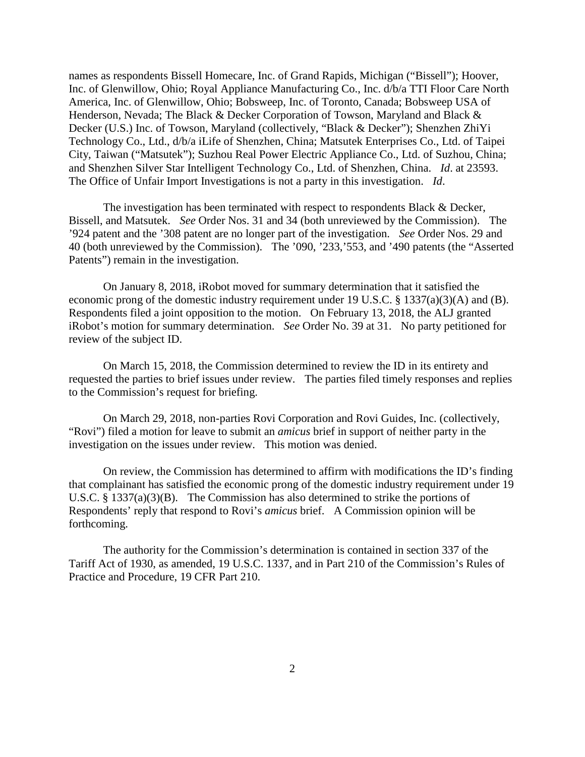names as respondents Bissell Homecare, Inc. of Grand Rapids, Michigan ("Bissell"); Hoover, Inc. of Glenwillow, Ohio; Royal Appliance Manufacturing Co., Inc. d/b/a TTI Floor Care North America, Inc. of Glenwillow, Ohio; Bobsweep, Inc. of Toronto, Canada; Bobsweep USA of Henderson, Nevada; The Black & Decker Corporation of Towson, Maryland and Black & Decker (U.S.) Inc. of Towson, Maryland (collectively, "Black & Decker"); Shenzhen ZhiYi Technology Co., Ltd., d/b/a iLife of Shenzhen, China; Matsutek Enterprises Co., Ltd. of Taipei City, Taiwan ("Matsutek"); Suzhou Real Power Electric Appliance Co., Ltd. of Suzhou, China; and Shenzhen Silver Star Intelligent Technology Co., Ltd. of Shenzhen, China. *Id*. at 23593. The Office of Unfair Import Investigations is not a party in this investigation. *Id*.

The investigation has been terminated with respect to respondents Black & Decker, Bissell, and Matsutek. *See* Order Nos. 31 and 34 (both unreviewed by the Commission). The '924 patent and the '308 patent are no longer part of the investigation. *See* Order Nos. 29 and 40 (both unreviewed by the Commission). The '090, '233,'553, and '490 patents (the "Asserted Patents") remain in the investigation.

On January 8, 2018, iRobot moved for summary determination that it satisfied the economic prong of the domestic industry requirement under 19 U.S.C. § 1337(a)(3)(A) and (B). Respondents filed a joint opposition to the motion. On February 13, 2018, the ALJ granted iRobot's motion for summary determination. *See* Order No. 39 at 31. No party petitioned for review of the subject ID.

On March 15, 2018, the Commission determined to review the ID in its entirety and requested the parties to brief issues under review. The parties filed timely responses and replies to the Commission's request for briefing.

On March 29, 2018, non-parties Rovi Corporation and Rovi Guides, Inc. (collectively, "Rovi") filed a motion for leave to submit an *amicus* brief in support of neither party in the investigation on the issues under review. This motion was denied.

On review, the Commission has determined to affirm with modifications the ID's finding that complainant has satisfied the economic prong of the domestic industry requirement under 19 U.S.C. § 1337(a)(3)(B). The Commission has also determined to strike the portions of Respondents' reply that respond to Rovi's *amicus* brief. A Commission opinion will be forthcoming.

The authority for the Commission's determination is contained in section 337 of the Tariff Act of 1930, as amended, 19 U.S.C. 1337, and in Part 210 of the Commission's Rules of Practice and Procedure, 19 CFR Part 210.